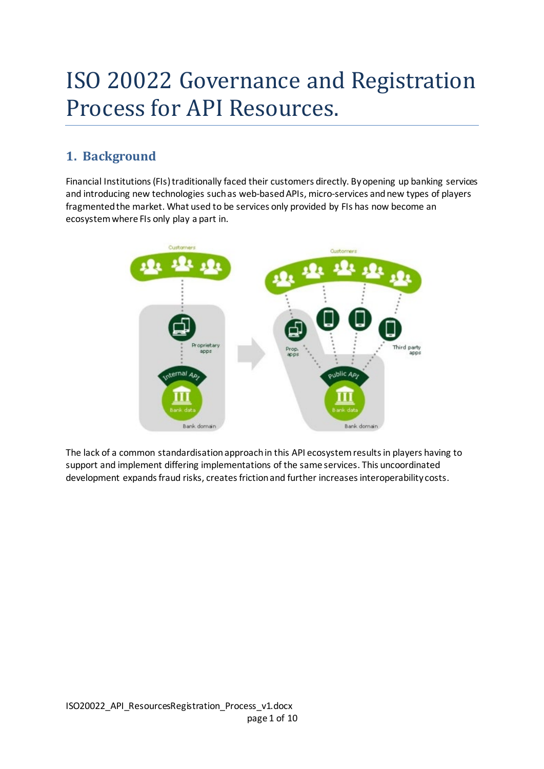# ISO 20022 Governance and Registration Process for API Resources.

# **1. Background**

Financial Institutions (FIs) traditionally faced their customers directly. By opening up banking services and introducing new technologies such as web-based APIs, micro-services and new types of players fragmented the market. What used to be services only provided by FIs has now become an ecosystem where FIs only play a part in.



The lack of a common standardisation approach in this API ecosystem results in players having to support and implement differing implementations of the same services. This uncoordinated development expands fraud risks, creates friction and further increases interoperability costs.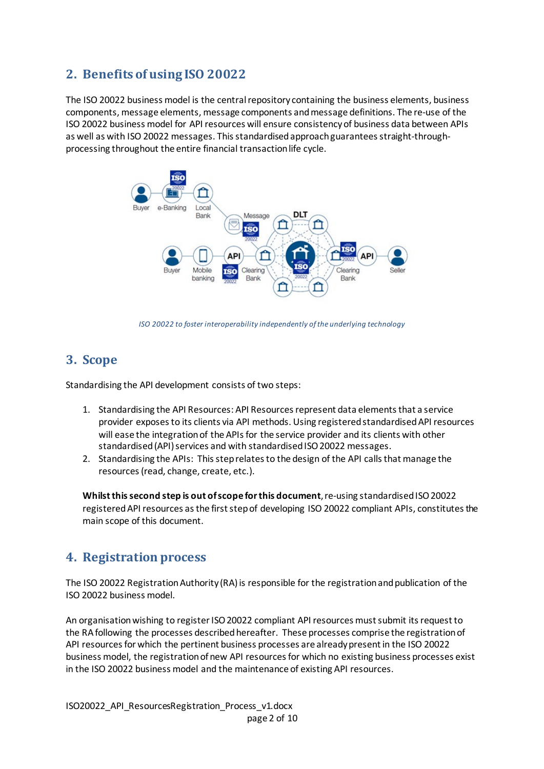# **2. Benefits of using ISO 20022**

The ISO 20022 business model is the central repository containing the business elements, business components, message elements, message components and message definitions. The re-use of the ISO 20022 business model for API resources will ensure consistency of business data between APIs as well as with ISO 20022 messages. This standardised approachguarantees straight-throughprocessing throughout the entire financial transaction life cycle.



*ISO 20022 to foster interoperability independently of the underlying technology* 

# **3. Scope**

Standardising the API development consists of two steps:

- 1. Standardising the API Resources: API Resources represent data elementsthat a service provider exposes to its clients via API methods. Using registered standardised API resources will ease the integration of the APIs for the service provider and its clients with other standardised (API) services and with standardised ISO 20022 messages.
- 2. Standardising the APIs: This step relates to the design of the API calls that manage the resources (read, change, create, etc.).

**Whilst this second step is out of scope for this document**, re-using standardised ISO 20022 registeredAPI resources asthe first stepof developing ISO 20022 compliant APIs, constitutes the main scope of this document.

# **4. Registration process**

The ISO 20022 Registration Authority (RA) is responsible for the registration and publication of the ISO 20022 business model.

An organisation wishing to register ISO 20022 compliant API resources must submit its request to the RA following the processes described hereafter. These processes comprise the registration of API resources for which the pertinent business processes are already present in the ISO 20022 business model, the registration of new API resourcesfor which no existing business processes exist in the ISO 20022 business model and the maintenance of existing API resources.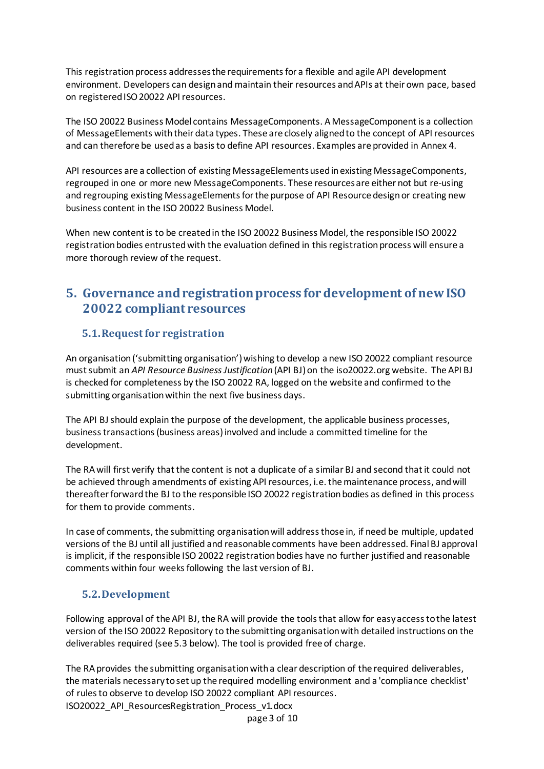This registration process addressesthe requirements for a flexible and agile API development environment. Developers can design and maintain their resources and APIs at their own pace, based on registeredISO 20022 API resources.

The ISO 20022 Business Model contains MessageComponents. A MessageComponent is a collection of MessageElements with their data types. These are closely aligned to the concept of API resources and can therefore be used as a basis to define API resources. Examples are provided in Annex 4.

API resources are a collection of existing MessageElements used in existing MessageComponents, regrouped in one or more new MessageComponents. These resources are either not but re-using and regrouping existing MessageElements for the purpose of API Resource design or creating new business content in the ISO 20022 Business Model.

When new content is to be created in the ISO 20022 Business Model, the responsible ISO 20022 registration bodies entrusted with the evaluation defined in this registration process will ensure a more thorough review of the request.

# **5. Governance and registration process for development of new ISO 20022 compliant resources**

## **5.1.Request for registration**

An organisation ('submitting organisation') wishing to develop a new ISO 20022 compliant resource must submit an *API Resource Business Justification* (API BJ) on the iso20022.org website. The API BJ is checked for completeness by the ISO 20022 RA, logged on the website and confirmed to the submitting organisation within the next five business days.

The API BJshould explain the purpose of the development, the applicable business processes, business transactions (business areas) involved and include a committed timeline for the development.

The RA will first verify that the content is not a duplicate of a similar BJ and second that it could not be achieved through amendments of existing API resources, i.e. the maintenance process, and will thereafter forward the BJ to the responsible ISO 20022 registration bodies as defined in this process for them to provide comments.

In case of comments, the submitting organisation will address those in, if need be multiple, updated versions of the BJ until all justified and reasonable comments have been addressed. Final BJ approval is implicit, if the responsible ISO 20022 registration bodies have no further justified and reasonable comments within four weeks following the last version of BJ.

#### **5.2.Development**

Following approval of theAPI BJ, the RA will provide the toolsthat allow for easy access to the latest version of the ISO 20022 Repository to the submitting organisation with detailed instructions on the deliverables required (see 5.3 below). The tool is provided free of charge.

ISO20022\_API\_ResourcesRegistration\_Process\_v1.docx The RA provides the submitting organisation with a clear description of the required deliverables, the materials necessary to set up the required modelling environment and a 'compliance checklist' of rules to observe to develop ISO 20022 compliant API resources.

page 3 of 10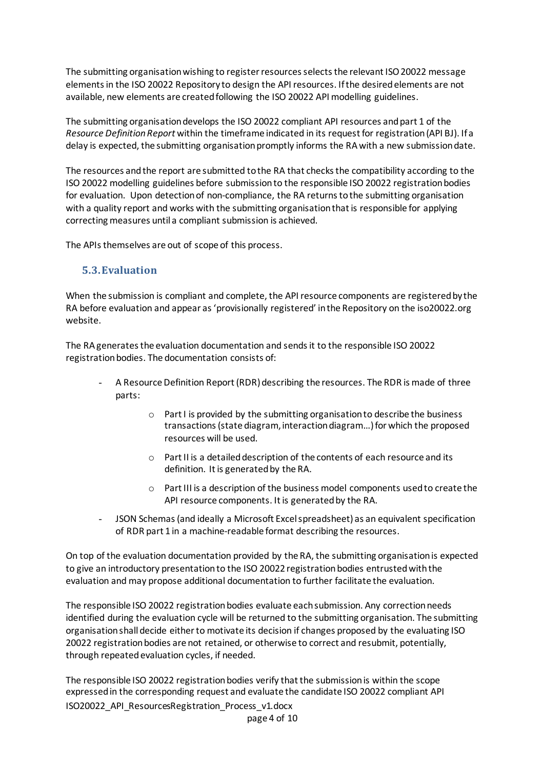The submitting organisation wishing to register resources selects the relevant ISO 20022 message elementsin the ISO 20022 Repository to design the API resources. If the desired elements are not available, new elements are created following the ISO 20022 API modelling guidelines.

The submitting organisation develops the ISO 20022 compliant API resources and part 1 of the *Resource Definition Report* within the timeframe indicated in its request for registration(API BJ). If a delay is expected, the submitting organisation promptly informs the RA with a new submission date.

The resources and the report are submitted to the RA that checks the compatibility according to the ISO 20022 modelling guidelines before submission to the responsible ISO 20022 registration bodies for evaluation. Upon detection of non-compliance, the RA returns to the submitting organisation with a quality report and works with the submitting organisation that is responsible for applying correcting measures until a compliant submission is achieved.

The APIs themselves are out of scope of this process.

#### **5.3.Evaluation**

When the submission is compliant and complete, the API resource components are registered by the RA before evaluation and appear as 'provisionally registered' in the Repository on the iso20022.org website.

The RA generates the evaluation documentation and sends it to the responsible ISO 20022 registration bodies. The documentation consists of:

- A Resource Definition Report (RDR) describing the resources. The RDR is made of three parts:
	- o Part I is provided by the submitting organisation to describe the business transactions (state diagram, interaction diagram…) for which the proposed resources will be used.
	- o Part II is a detailed description of the contents of each resource and its definition. It is generated by the RA.
	- o Part III is a description of the business model components used to create the API resource components. It is generated by the RA.
- JSON Schemas(and ideally a Microsoft Excel spreadsheet) as an equivalent specification of RDR part 1 in a machine-readable format describing the resources.

On top of the evaluation documentation provided by the RA, the submitting organisation is expected to give an introductory presentation to the ISO 20022 registration bodies entrusted with the evaluation and may propose additional documentation to further facilitate the evaluation.

The responsible ISO 20022 registration bodies evaluate each submission. Any correction needs identified during the evaluation cycle will be returned to the submitting organisation. The submitting organisation shall decide either to motivate its decision if changes proposed by the evaluating ISO 20022 registration bodies are not retained, or otherwise to correct and resubmit, potentially, through repeatedevaluation cycles, if needed.

ISO20022\_API\_ResourcesRegistration\_Process\_v1.docx The responsible ISO 20022 registration bodies verify that the submission is within the scope expressed in the corresponding request and evaluate the candidate ISO 20022 compliant API

page 4 of 10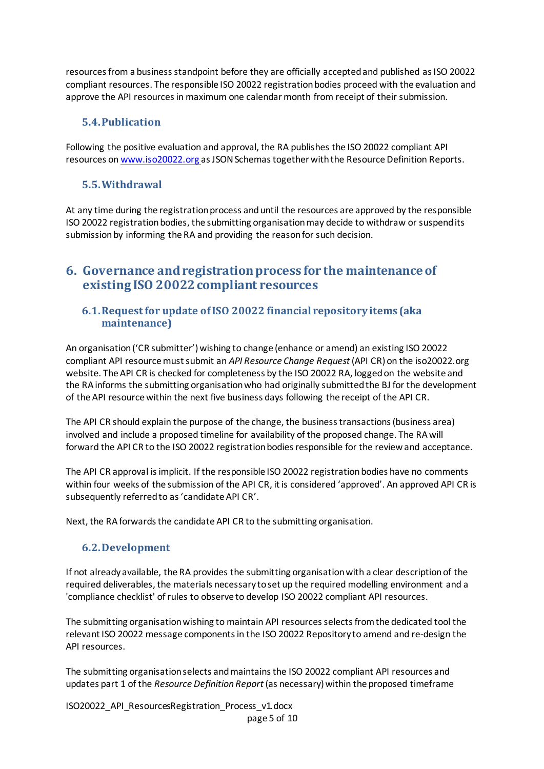resourcesfrom a business standpoint before they are officially accepted and published as ISO 20022 compliant resources. The responsible ISO 20022 registration bodies proceed with the evaluation and approve the API resources in maximum one calendar month from receipt of their submission.

## **5.4.Publication**

Following the positive evaluation and approval, the RA publishes the ISO 20022 compliant API resources on [www.iso20022.org](http://www.iso20022.org/) as JSON Schemastogether with the Resource Definition Reports.

#### **5.5.Withdrawal**

At any time during the registration process and until the resources are approved by the responsible ISO 20022 registration bodies, the submitting organisation may decide to withdraw or suspend its submission by informing the RA and providing the reason for such decision.

# **6. Governance and registration process for the maintenance of existing ISO 20022 compliant resources**

#### **6.1.Request for update of ISO 20022 financial repository items (aka maintenance)**

An organisation ('CR submitter') wishing to change (enhance or amend) an existing ISO 20022 compliant API resource must submit an *API Resource Change Request* (API CR)on the iso20022.org website. The API CR is checked for completeness by the ISO 20022 RA, logged on the website and the RA informs the submitting organisation who had originally submitted the BJ for the development of the API resource within the next five business days following the receipt of the API CR.

The API CR should explain the purpose of the change, the business transactions (business area) involved and include a proposed timeline for availability of the proposed change. The RA will forward the API CR to the ISO 20022 registration bodies responsible for the reviewand acceptance.

The API CR approval is implicit. If the responsible ISO 20022 registration bodies have no comments within four weeks of the submission of the API CR, it is considered 'approved'. An approved API CR is subsequently referred to as 'candidate API CR'.

Next, the RA forwards the candidate API CR to the submitting organisation.

#### **6.2.Development**

If not already available, the RA provides the submitting organisation with a clear description of the required deliverables, the materials necessary to set up the required modelling environment and a 'compliance checklist' of rules to observe to develop ISO 20022 compliant API resources.

The submitting organisation wishing to maintain API resources selectsfrom the dedicated tool the relevant ISO 20022 message components in the ISO 20022 Repository to amend and re-design the API resources.

The submitting organisationselects and maintains the ISO 20022 compliant API resources and updates part 1 of the *Resource Definition Report*(as necessary) within the proposed timeframe

ISO20022\_API\_ResourcesRegistration\_Process\_v1.docx page 5 of 10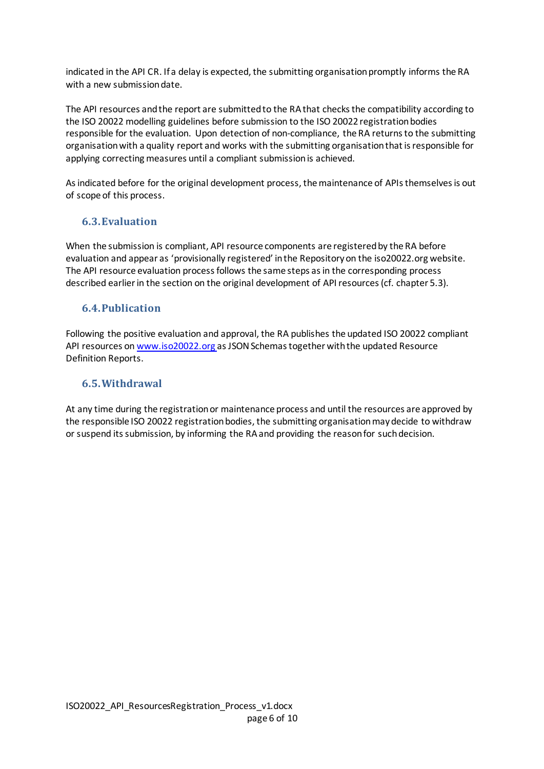indicated in the API CR. If a delay is expected, the submitting organisation promptly informs the RA with a new submission date.

The API resources and the report are submitted to the RA that checks the compatibility according to the ISO 20022 modelling guidelines before submission to the ISO 20022 registration bodies responsible for the evaluation. Upon detection of non-compliance, the RA returns to the submitting organisation with a quality report and works with the submitting organisation that is responsible for applying correcting measures until a compliant submission is achieved.

As indicated before for the original development process, the maintenance of APIs themselves is out of scope of this process.

## **6.3.Evaluation**

When the submission is compliant, API resource components are registered by the RA before evaluation and appear as 'provisionally registered' in the Repository on the iso20022.org website. The API resource evaluation process follows the same steps as in the corresponding process described earlier in the section on the original development of API resources(cf. chapter 5.3).

#### **6.4.Publication**

Following the positive evaluation and approval, the RA publishes the updated ISO 20022 compliant API resources o[n www.iso20022.org](http://www.iso20022.org/) as JSON Schemastogether with the updated Resource Definition Reports.

#### **6.5.Withdrawal**

At any time during the registration or maintenance process and until the resources are approved by the responsible ISO 20022 registration bodies, the submitting organisation may decide to withdraw or suspend its submission, by informing the RA and providing the reason for such decision.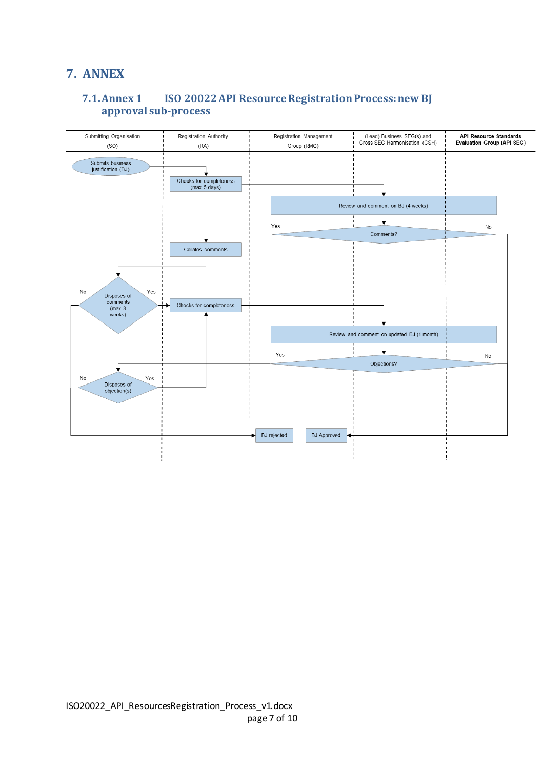# **7. ANNEX**

## **7.1.Annex 1 ISO 20022 API Resource Registration Process: new BJ approval sub-process**

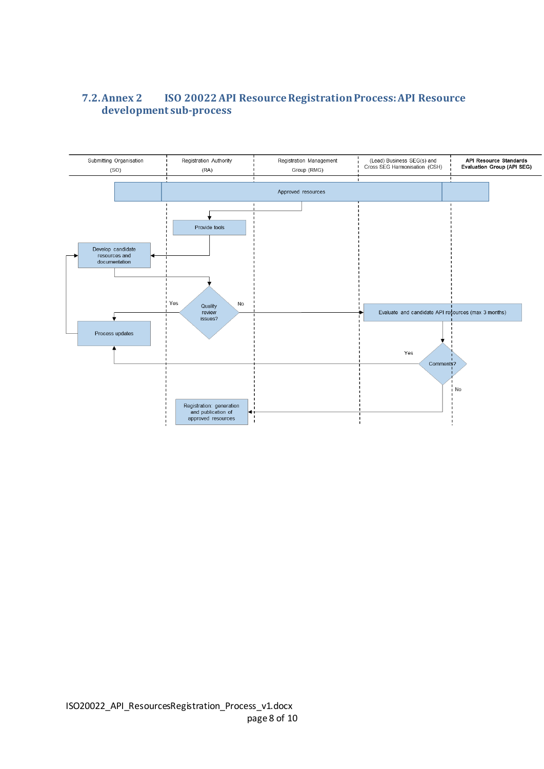# **7.2.Annex 2 ISO 20022 API Resource Registration Process: API Resource development sub-process**

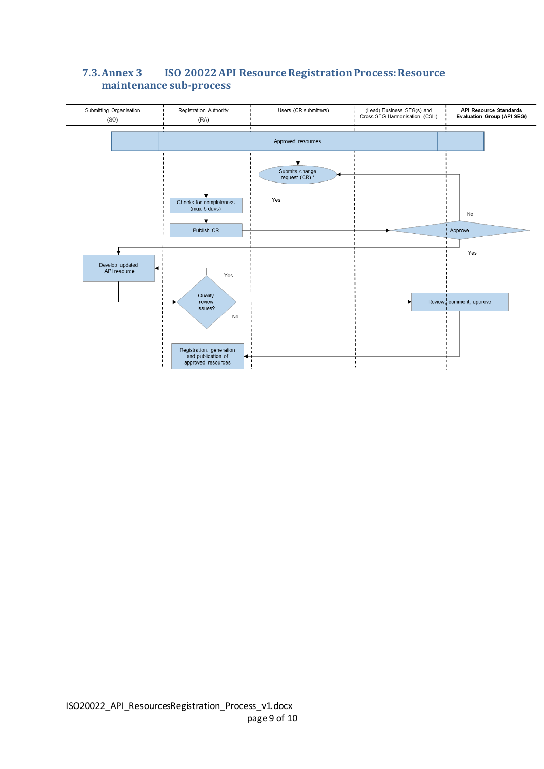

## **7.3.Annex 3 ISO 20022 API Resource Registration Process: Resource maintenance sub-process**